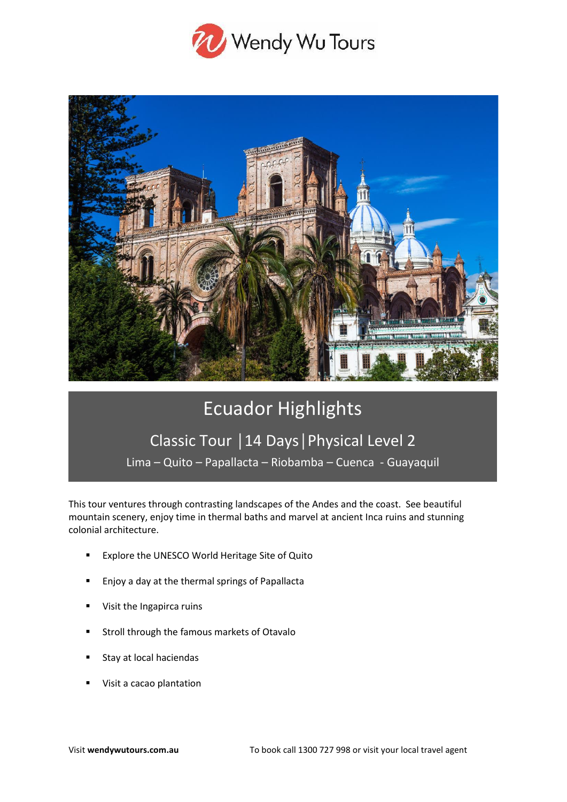



# Ecuador Highlights

# Classic Tour │14 Days│Physical Level 2

Lima – Quito – Papallacta – Riobamba – Cuenca - Guayaquil

This tour ventures through contrasting landscapes of the Andes and the coast. See beautiful mountain scenery, enjoy time in thermal baths and marvel at ancient Inca ruins and stunning colonial architecture.

- Explore the UNESCO World Heritage Site of Quito
- Enjoy a day at the thermal springs of Papallacta
- Visit the Ingapirca ruins
- Stroll through the famous markets of Otavalo
- Stay at local haciendas
- Visit a cacao plantation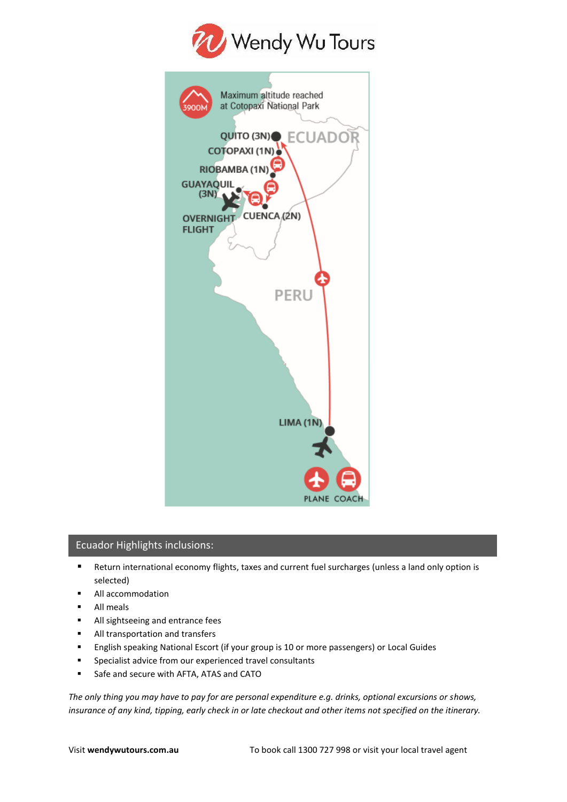

| Maximum altitude reached<br>at Cotopaxi National Park |
|-------------------------------------------------------|
| 3900M                                                 |
| QUITO (3N) ECUADO                                     |
| COTOPAXI (1N)                                         |
| RIOBAMBA (1N)                                         |
| <b>GUAYAQUIL</b>                                      |
| (3N)                                                  |
| CUENCA (2N)<br><b>OVERNIGHT</b>                       |
| <b>FLIGHT</b>                                         |
|                                                       |
|                                                       |
|                                                       |
| PERU                                                  |
|                                                       |
|                                                       |
|                                                       |
|                                                       |
|                                                       |
|                                                       |
| LIMA (1N)                                             |
|                                                       |
|                                                       |
|                                                       |
| PLANE COACH                                           |
|                                                       |

## Ecuador Highlights inclusions:

- Return international economy flights, taxes and current fuel surcharges (unless a land only option is selected)
- All accommodation
- All meals
- All sightseeing and entrance fees
- All transportation and transfers
- English speaking National Escort (if your group is 10 or more passengers) or Local Guides
- Specialist advice from our experienced travel consultants
- Safe and secure with AFTA, ATAS and CATO

*The only thing you may have to pay for are personal expenditure e.g. drinks, optional excursions or shows, insurance of any kind, tipping, early check in or late checkout and other items not specified on the itinerary.*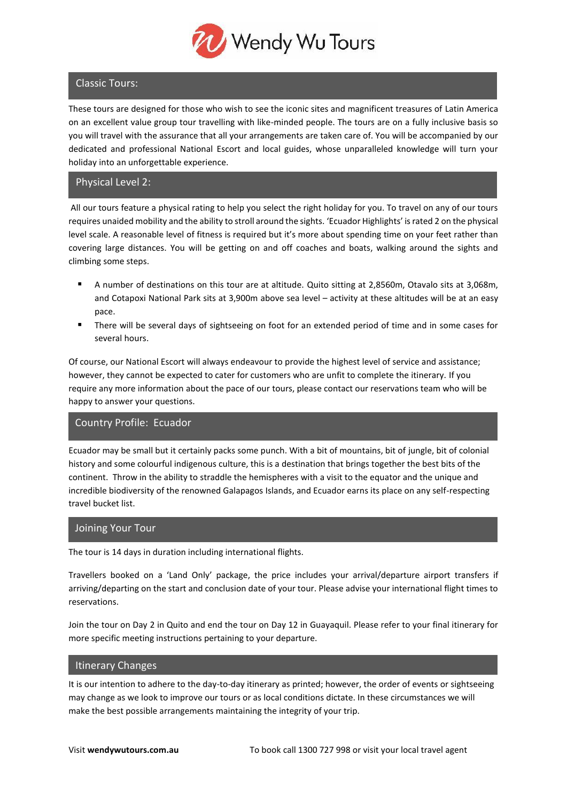

## Classic Tours:

These tours are designed for those who wish to see the iconic sites and magnificent treasures of Latin America on an excellent value group tour travelling with like-minded people. The tours are on a fully inclusive basis so you will travel with the assurance that all your arrangements are taken care of. You will be accompanied by our dedicated and professional National Escort and local guides, whose unparalleled knowledge will turn your holiday into an unforgettable experience.

## Physical Level 2:

All our tours feature a physical rating to help you select the right holiday for you. To travel on any of our tours requires unaided mobility and the ability to stroll around the sights. 'Ecuador Highlights' is rated 2 on the physical level scale. A reasonable level of fitness is required but it's more about spending time on your feet rather than covering large distances. You will be getting on and off coaches and boats, walking around the sights and climbing some steps.

- A number of destinations on this tour are at altitude. Quito sitting at 2,8560m, Otavalo sits at 3,068m, and Cotapoxi National Park sits at 3,900m above sea level – activity at these altitudes will be at an easy pace.
- There will be several days of sightseeing on foot for an extended period of time and in some cases for several hours.

Of course, our National Escort will always endeavour to provide the highest level of service and assistance; however, they cannot be expected to cater for customers who are unfit to complete the itinerary. If you require any more information about the pace of our tours, please contact our reservations team who will be happy to answer your questions.

#### Country Profile: Ecuador

Ecuador may be small but it certainly packs some punch. With a bit of mountains, bit of jungle, bit of colonial history and some colourful indigenous culture, this is a destination that brings together the best bits of the continent. Throw in the ability to straddle the hemispheres with a visit to the equator and the unique and incredible biodiversity of the renowned Galapagos Islands, and Ecuador earns its place on any self-respecting travel bucket list.

#### Joining Your Tour

The tour is 14 days in duration including international flights.

Travellers booked on a 'Land Only' package, the price includes your arrival/departure airport transfers if arriving/departing on the start and conclusion date of your tour. Please advise your international flight times to reservations.

Join the tour on Day 2 in Quito and end the tour on Day 12 in Guayaquil. Please refer to your final itinerary for more specific meeting instructions pertaining to your departure.

#### Itinerary Changes

It is our intention to adhere to the day-to-day itinerary as printed; however, the order of events or sightseeing may change as we look to improve our tours or as local conditions dictate. In these circumstances we will make the best possible arrangements maintaining the integrity of your trip.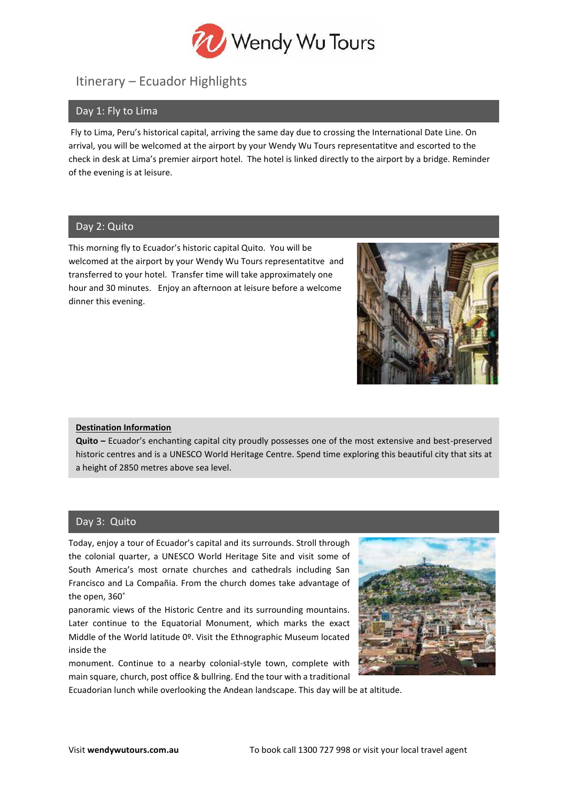

## Itinerary – Ecuador Highlights

## Day 1: Fly to Lima

Fly to Lima, Peru's historical capital, arriving the same day due to crossing the International Date Line. On arrival, you will be welcomed at the airport by your Wendy Wu Tours representatitve and escorted to the check in desk at Lima's premier airport hotel. The hotel is linked directly to the airport by a bridge. Reminder of the evening is at leisure.

## Day 2: Quito

This morning fly to Ecuador's historic capital Quito. You will be welcomed at the airport by your Wendy Wu Tours representatitve and transferred to your hotel. Transfer time will take approximately one hour and 30 minutes. Enjoy an afternoon at leisure before a welcome dinner this evening.



#### **Destination Information**

**Quito –** Ecuador's enchanting capital city proudly possesses one of the most extensive and best-preserved historic centres and is a UNESCO World Heritage Centre. Spend time exploring this beautiful city that sits at a height of 2850 metres above sea level.

## Day 3: Quito

Today, enjoy a tour of Ecuador's capital and its surrounds. Stroll through the colonial quarter, a UNESCO World Heritage Site and visit some of South America's most ornate churches and cathedrals including San Francisco and La Compañia. From the church domes take advantage of the open, 360˚

panoramic views of the Historic Centre and its surrounding mountains. Later continue to the Equatorial Monument, which marks the exact Middle of the World latitude 0º. Visit the Ethnographic Museum located inside the

monument. Continue to a nearby colonial-style town, complete with main square, church, post office & bullring. End the tour with a traditional

Ecuadorian lunch while overlooking the Andean landscape. This day will be at altitude.

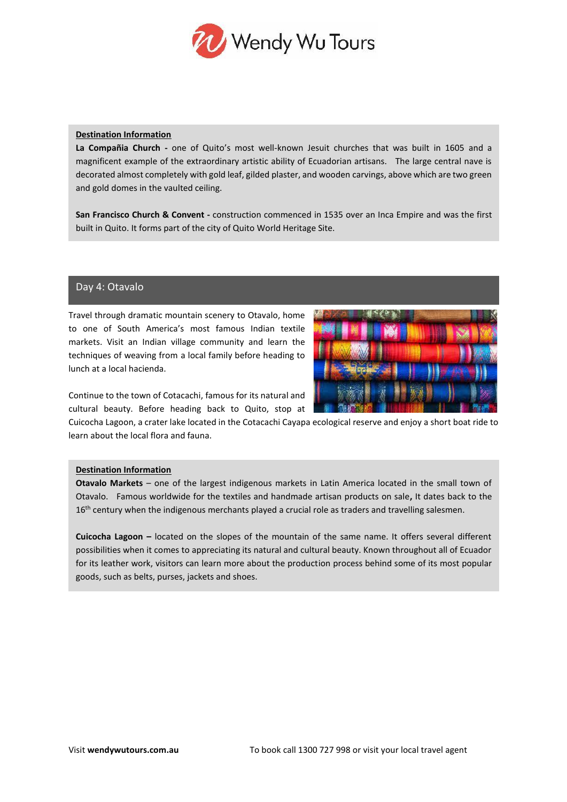

#### **Destination Information**

**La Compañia Church -** one of Quito's most well-known Jesuit churches that was built in 1605 and a magnificent example of the extraordinary artistic ability of Ecuadorian artisans. The large central nave is decorated almost completely with gold leaf, gilded plaster, and wooden carvings, above which are two green and gold domes in the vaulted ceiling.

**San Francisco Church & Convent -** construction commenced in 1535 over an Inca Empire and was the first built in Quito. It forms part of the city of Quito World Heritage Site.

#### Day 4: Otavalo

Travel through dramatic mountain scenery to Otavalo, home to one of South America's most famous Indian textile markets. Visit an Indian village community and learn the techniques of weaving from a local family before heading to lunch at a local hacienda.



Continue to the town of Cotacachi, famous for its natural and cultural beauty. Before heading back to Quito, stop at

Cuicocha Lagoon, a crater lake located in the Cotacachi Cayapa ecological reserve and enjoy a short boat ride to learn about the local flora and fauna.

#### **Destination Information**

**Otavalo Markets** – one of the largest indigenous markets in Latin America located in the small town of Otavalo. Famous worldwide for the textiles and handmade artisan products on sale**,** It dates back to the 16<sup>th</sup> century when the indigenous merchants played a crucial role as traders and travelling salesmen.

**Cuicocha Lagoon –** located on the slopes of the mountain of the same name. It offers several different possibilities when it comes to appreciating its natural and cultural beauty. Known throughout all of Ecuador for its leather work, visitors can learn more about the production process behind some of its most popular goods, such as belts, purses, jackets and shoes.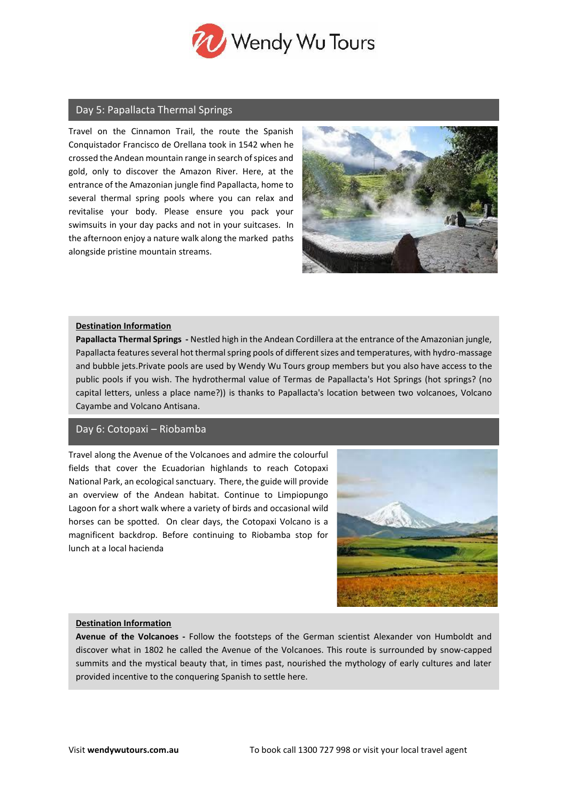

## Day 5: Papallacta Thermal Springs

Travel on the Cinnamon Trail, the route the Spanish Conquistador Francisco de Orellana took in 1542 when he crossed the Andean mountain range in search of spices and gold, only to discover the Amazon River. Here, at the entrance of the Amazonian jungle find Papallacta, home to several thermal spring pools where you can relax and revitalise your body. Please ensure you pack your swimsuits in your day packs and not in your suitcases. In the afternoon enjoy a nature walk along the marked paths alongside pristine mountain streams.



#### **Destination Information**

**Papallacta Thermal Springs -** Nestled high in the Andean Cordillera at the entrance of the Amazonian jungle, Papallacta features several hot thermal spring pools of different sizes and temperatures, with hydro-massage and bubble jets.Private pools are used by Wendy Wu Tours group members but you also have access to the public pools if you wish. The hydrothermal value of Termas de Papallacta's Hot Springs (hot springs? (no capital letters, unless a place name?)) is thanks to Papallacta's location between two volcanoes, Volcano Cayambe and Volcano Antisana.

#### Day 6: Cotopaxi – Riobamba

Travel along the Avenue of the Volcanoes and admire the colourful fields that cover the Ecuadorian highlands to reach Cotopaxi National Park, an ecological sanctuary. There, the guide will provide an overview of the Andean habitat. Continue to Limpiopungo Lagoon for a short walk where a variety of birds and occasional wild horses can be spotted. On clear days, the Cotopaxi Volcano is a magnificent backdrop. Before continuing to Riobamba stop for lunch at a local hacienda



#### **Destination Information**

**Avenue of the Volcanoes -** Follow the footsteps of the German scientist Alexander von Humboldt and discover what in 1802 he called the Avenue of the Volcanoes. This route is surrounded by snow-capped summits and the mystical beauty that, in times past, nourished the mythology of early cultures and later provided incentive to the conquering Spanish to settle here.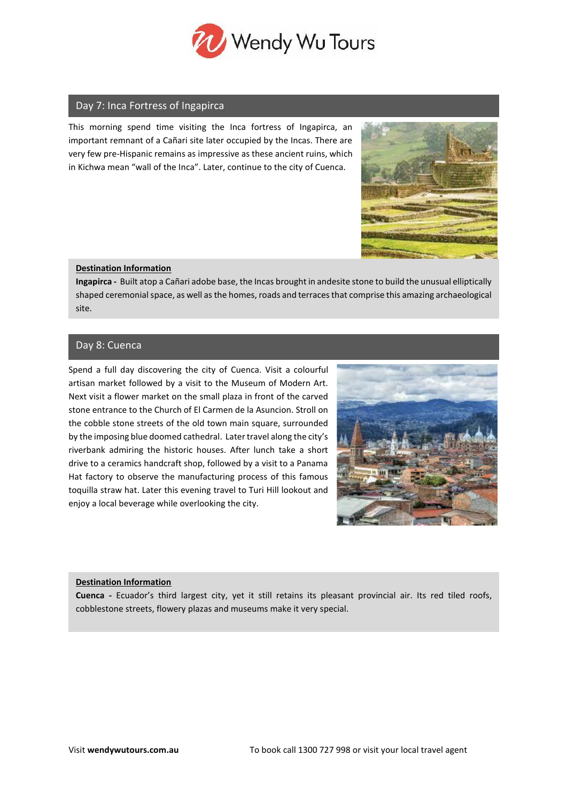

#### Day 7: Inca Fortress of Ingapirca

This morning spend time visiting the Inca fortress of Ingapirca, an important remnant of a Cañari site later occupied by the Incas. There are very few pre-Hispanic remains as impressive as these ancient ruins, which in Kichwa mean "wall of the Inca". Later, continue to the city of Cuenca.



#### **Destination Information**

**Ingapirca -** Built atop a Cañari adobe base, the Incas brought in andesite stone to build the unusual elliptically shaped ceremonial space, as well as the homes, roads and terraces that comprise this amazing archaeological site.

## Day 8: Cuenca

Spend a full day discovering the city of Cuenca. Visit a colourful artisan market followed by a visit to the Museum of Modern Art. Next visit a flower market on the small plaza in front of the carved stone entrance to the Church of El Carmen de la Asuncion. Stroll on the cobble stone streets of the old town main square, surrounded by the imposing blue doomed cathedral. Later travel along the city's riverbank admiring the historic houses. After lunch take a short drive to a ceramics handcraft shop, followed by a visit to a Panama Hat factory to observe the manufacturing process of this famous toquilla straw hat. Later this evening travel to Turi Hill lookout and enjoy a local beverage while overlooking the city.



#### **Destination Information**

**Cuenca -** Ecuador's third largest city, yet it still retains its pleasant provincial air. Its red tiled roofs, cobblestone streets, flowery plazas and museums make it very special.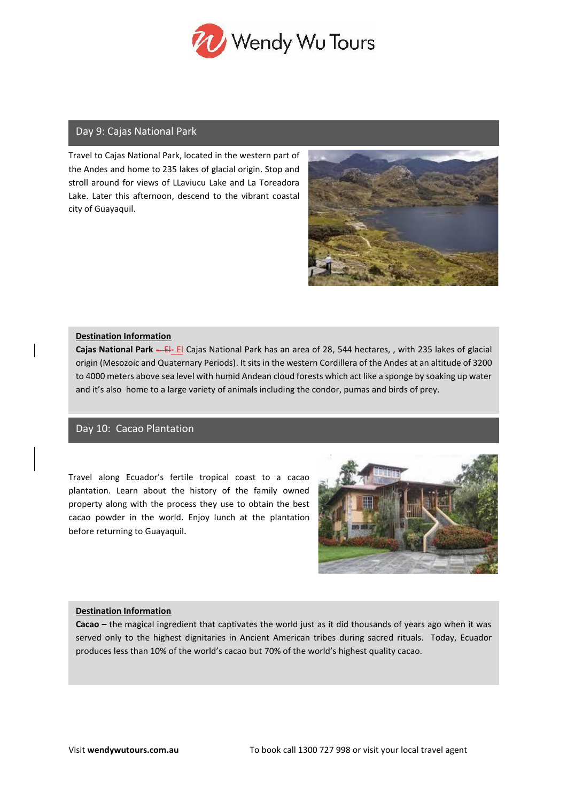

## Day 9: Cajas National Park

Travel to Cajas National Park, located in the western part of the Andes and home to 235 lakes of glacial origin. Stop and stroll around for views of LLaviucu Lake and La Toreadora Lake. Later this afternoon, descend to the vibrant coastal city of Guayaquil.



#### **Destination Information**

**Cajas National Park -** El**-** El Cajas National Park has an area of 28, 544 hectares, , with 235 lakes of glacial origin (Mesozoic and Quaternary Periods). It sits in the western Cordillera of the Andes at an altitude of 3200 to 4000 meters above sea level with humid Andean cloud forests which act like a sponge by soaking up water and it's also home to a large variety of animals including the condor, pumas and birds of prey.

## Day 10: Cacao Plantation

Travel along Ecuador's fertile tropical coast to a cacao plantation. Learn about the history of the family owned property along with the process they use to obtain the best cacao powder in the world. Enjoy lunch at the plantation before returning to Guayaquil.



#### **Destination Information**

**Cacao –** the magical ingredient that captivates the world just as it did thousands of years ago when it was served only to the highest dignitaries in Ancient American tribes during sacred rituals. Today, Ecuador produces less than 10% of the world's cacao but 70% of the world's highest quality cacao.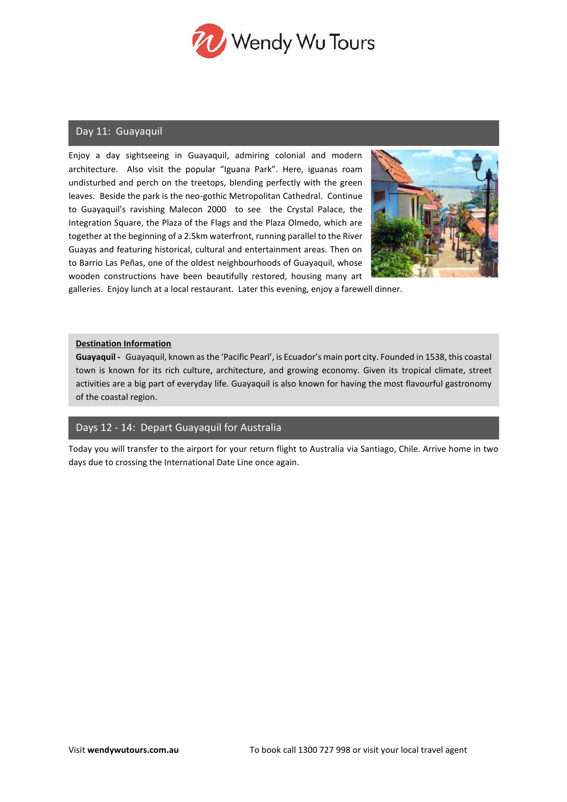

## Day 11: Guayaquil

Enjoy a day sightseeing in Guayaquil, admiring colonial and modern architecture. Also visit the popular "Iguana Park". Here, iguanas roam undisturbed and perch on the treetops, blending perfectly with the green leaves. Beside the park is the neo-gothic Metropolitan Cathedral. Continue to Guayaquil's ravishing Malecon 2000 to see the Crystal Palace, the Integration Square, the Plaza of the Flags and the Plaza Olmedo, which are together at the beginning of a 2.5km waterfront, running parallel to the River Guayas and featuring historical, cultural and entertainment areas. Then on to Barrio Las Peñas, one of the oldest neighbourhoods of Guayaquil, whose wooden constructions have been beautifully restored, housing many art



galleries. Enjoy lunch at a local restaurant. Later this evening, enjoy a farewell dinner.

#### **Destination Information**

**Guayaquil -** Guayaquil, known as the 'Pacific Pearl', is Ecuador's main port city. Founded in 1538, this coastal town is known for its rich culture, architecture, and growing economy. Given its tropical climate, street activities are a big part of everyday life. Guayaquil is also known for having the most flavourful gastronomy of the coastal region.

## Days 12 - 14: Depart Guayaquil for Australia

Today you will transfer to the airport for your return flight to Australia via Santiago, Chile. Arrive home in two days due to crossing the International Date Line once again.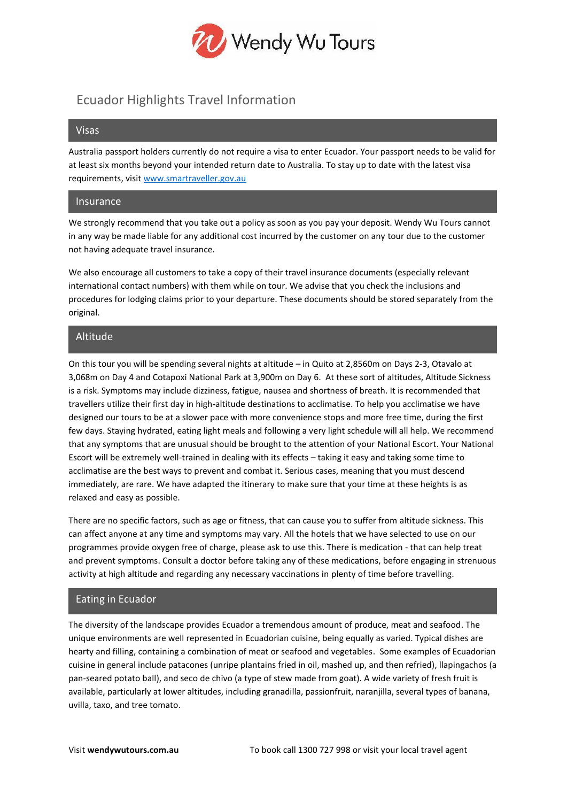

## Ecuador Highlights Travel Information

#### Visas

Australia passport holders currently do not require a visa to enter Ecuador. Your passport needs to be valid for at least six months beyond your intended return date to Australia. To stay up to date with the latest visa requirements, visi[t www.smartraveller.gov.au](http://www.smartraveller.gov.au/)

#### Insurance

We strongly recommend that you take out a policy as soon as you pay your deposit. Wendy Wu Tours cannot in any way be made liable for any additional cost incurred by the customer on any tour due to the customer not having adequate travel insurance.

We also encourage all customers to take a copy of their travel insurance documents (especially relevant international contact numbers) with them while on tour. We advise that you check the inclusions and procedures for lodging claims prior to your departure. These documents should be stored separately from the original.

## Altitude

On this tour you will be spending several nights at altitude – in Quito at 2,8560m on Days 2-3, Otavalo at 3,068m on Day 4 and Cotapoxi National Park at 3,900m on Day 6. At these sort of altitudes, Altitude Sickness is a risk. Symptoms may include dizziness, fatigue, nausea and shortness of breath. It is recommended that travellers utilize their first day in high-altitude destinations to acclimatise. To help you acclimatise we have designed our tours to be at a slower pace with more convenience stops and more free time, during the first few days. Staying hydrated, eating light meals and following a very light schedule will all help. We recommend that any symptoms that are unusual should be brought to the attention of your National Escort. Your National Escort will be extremely well-trained in dealing with its effects – taking it easy and taking some time to acclimatise are the best ways to prevent and combat it. Serious cases, meaning that you must descend immediately, are rare. We have adapted the itinerary to make sure that your time at these heights is as relaxed and easy as possible.

There are no specific factors, such as age or fitness, that can cause you to suffer from altitude sickness. This can affect anyone at any time and symptoms may vary. All the hotels that we have selected to use on our programmes provide oxygen free of charge, please ask to use this. There is medication - that can help treat and prevent symptoms. Consult a doctor before taking any of these medications, before engaging in strenuous activity at high altitude and regarding any necessary vaccinations in plenty of time before travelling.

## Eating in Ecuador

The diversity of the landscape provides Ecuador a tremendous amount of produce, meat and seafood. The unique environments are well represented in Ecuadorian cuisine, being equally as varied. Typical dishes are hearty and filling, containing a combination of meat or seafood and vegetables. Some examples of Ecuadorian cuisine in general include patacones (unripe plantains fried in oil, mashed up, and then refried), llapingachos (a pan-seared potato ball), and seco de chivo (a type of stew made from goat). A wide variety of fresh fruit is available, particularly at lower altitudes, including granadilla, passionfruit, naranjilla, several types of banana, uvilla, taxo, and tree tomato.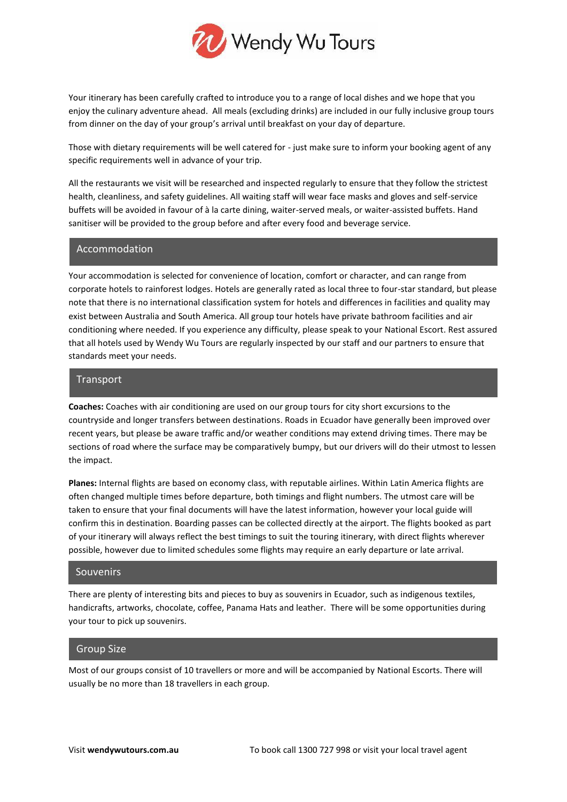

Your itinerary has been carefully crafted to introduce you to a range of local dishes and we hope that you enjoy the culinary adventure ahead. All meals (excluding drinks) are included in our fully inclusive group tours from dinner on the day of your group's arrival until breakfast on your day of departure.

Those with dietary requirements will be well catered for - just make sure to inform your booking agent of any specific requirements well in advance of your trip.

All the restaurants we visit will be researched and inspected regularly to ensure that they follow the strictest health, cleanliness, and safety guidelines. All waiting staff will wear face masks and gloves and self-service buffets will be avoided in favour of à la carte dining, waiter-served meals, or waiter-assisted buffets. Hand sanitiser will be provided to the group before and after every food and beverage service.

#### Accommodation

Your accommodation is selected for convenience of location, comfort or character, and can range from corporate hotels to rainforest lodges. Hotels are generally rated as local three to four-star standard, but please note that there is no international classification system for hotels and differences in facilities and quality may exist between Australia and South America. All group tour hotels have private bathroom facilities and air conditioning where needed. If you experience any difficulty, please speak to your National Escort. Rest assured that all hotels used by Wendy Wu Tours are regularly inspected by our staff and our partners to ensure that standards meet your needs.

### Transport

**Coaches:** Coaches with air conditioning are used on our group tours for city short excursions to the countryside and longer transfers between destinations. Roads in Ecuador have generally been improved over recent years, but please be aware traffic and/or weather conditions may extend driving times. There may be sections of road where the surface may be comparatively bumpy, but our drivers will do their utmost to lessen the impact.

**Planes:** Internal flights are based on economy class, with reputable airlines. Within Latin America flights are often changed multiple times before departure, both timings and flight numbers. The utmost care will be taken to ensure that your final documents will have the latest information, however your local guide will confirm this in destination. Boarding passes can be collected directly at the airport. The flights booked as part of your itinerary will always reflect the best timings to suit the touring itinerary, with direct flights wherever possible, however due to limited schedules some flights may require an early departure or late arrival.

#### Souvenirs

There are plenty of interesting bits and pieces to buy as souvenirs in Ecuador, such as indigenous textiles, handicrafts, artworks, chocolate, coffee, Panama Hats and leather. There will be some opportunities during your tour to pick up souvenirs.

#### Group Size

Most of our groups consist of 10 travellers or more and will be accompanied by National Escorts. There will usually be no more than 18 travellers in each group.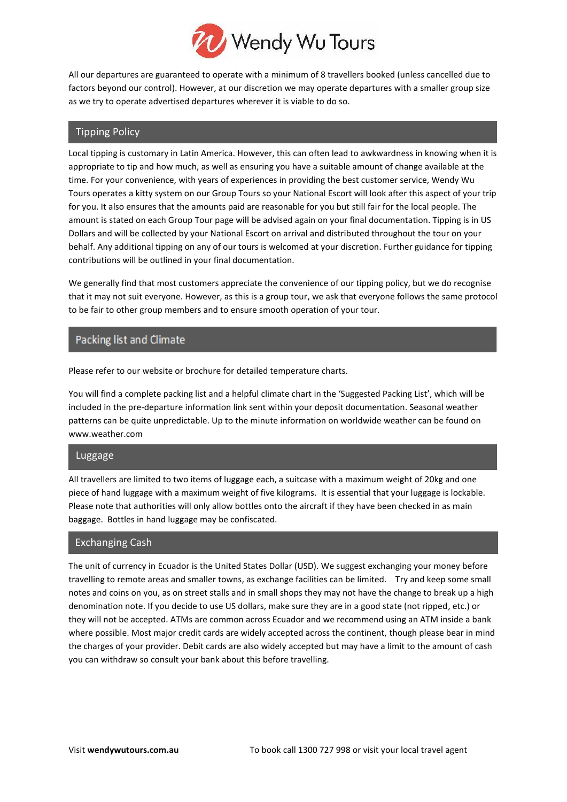

All our departures are guaranteed to operate with a minimum of 8 travellers booked (unless cancelled due to factors beyond our control). However, at our discretion we may operate departures with a smaller group size as we try to operate advertised departures wherever it is viable to do so.

## Tipping Policy

Local tipping is customary in Latin America. However, this can often lead to awkwardness in knowing when it is appropriate to tip and how much, as well as ensuring you have a suitable amount of change available at the time. For your convenience, with years of experiences in providing the best customer service, Wendy Wu Tours operates a kitty system on our Group Tours so your National Escort will look after this aspect of your trip for you. It also ensures that the amounts paid are reasonable for you but still fair for the local people. The amount is stated on each Group Tour page will be advised again on your final documentation. Tipping is in US Dollars and will be collected by your National Escort on arrival and distributed throughout the tour on your behalf. Any additional tipping on any of our tours is welcomed at your discretion. Further guidance for tipping contributions will be outlined in your final documentation.

We generally find that most customers appreciate the convenience of our tipping policy, but we do recognise that it may not suit everyone. However, as this is a group tour, we ask that everyone follows the same protocol to be fair to other group members and to ensure smooth operation of your tour.

## Packing list and Climate

Please refer to our website or brochure for detailed temperature charts.

You will find a complete packing list and a helpful climate chart in the 'Suggested Packing List', which will be included in the pre-departure information link sent within your deposit documentation. Seasonal weather patterns can be quite unpredictable. Up to the minute information on worldwide weather can be found on www.weather.com

## Luggage

All travellers are limited to two items of luggage each, a suitcase with a maximum weight of 20kg and one piece of hand luggage with a maximum weight of five kilograms. It is essential that your luggage is lockable. Please note that authorities will only allow bottles onto the aircraft if they have been checked in as main baggage. Bottles in hand luggage may be confiscated.

## Exchanging Cash

The unit of currency in Ecuador is the United States Dollar (USD). We suggest exchanging your money before travelling to remote areas and smaller towns, as exchange facilities can be limited. Try and keep some small notes and coins on you, as on street stalls and in small shops they may not have the change to break up a high denomination note. If you decide to use US dollars, make sure they are in a good state (not ripped, etc.) or they will not be accepted. ATMs are common across Ecuador and we recommend using an ATM inside a bank where possible. Most major credit cards are widely accepted across the continent, though please bear in mind the charges of your provider. Debit cards are also widely accepted but may have a limit to the amount of cash you can withdraw so consult your bank about this before travelling.